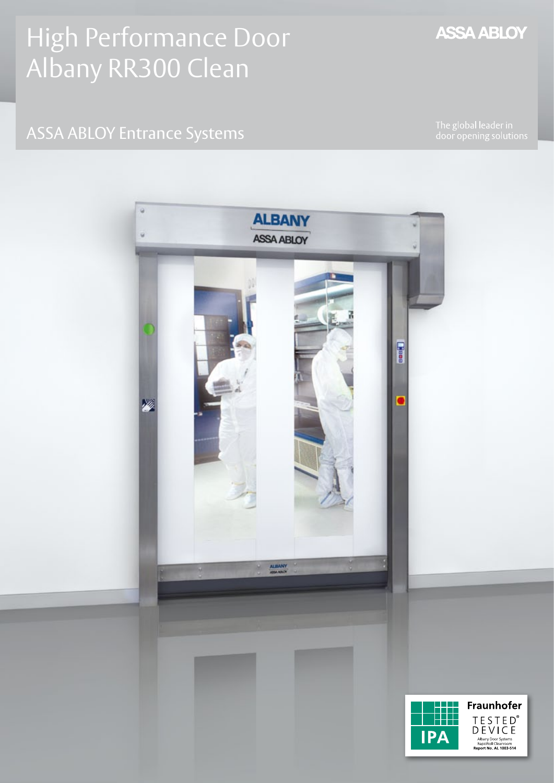## High Performance Door Albany RR300 Clean

## ASSA ABLOY Entrance Systems

The global leader in<br>door opening solutions



## **ASSA ABLOY**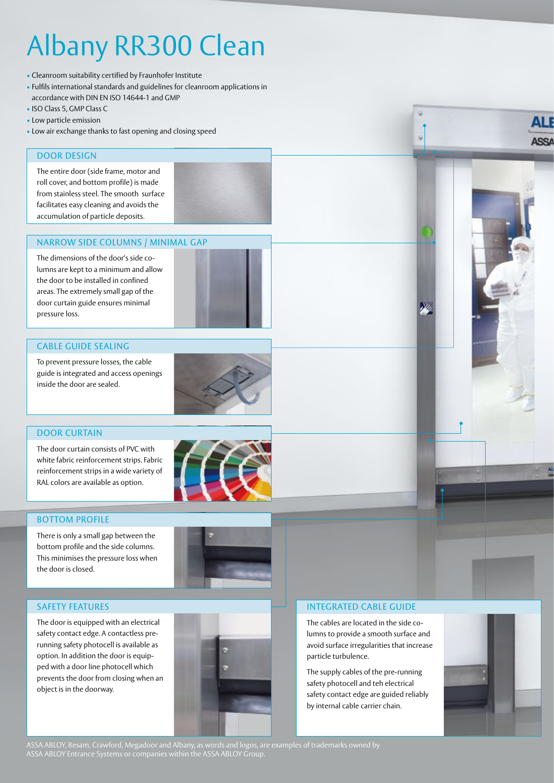# Albany RR300 Clean

- Cleanroom suitability certified by Fraunhofer Institute
- Fulfils international standards and guidelines for cleanroom applications in accordance with DIN EN ISO 14644-1 and GMP
- ISO Class 5, GMP Class C
- Low particle emission
- Low air exchange thanks to fast opening and closing speed

#### DOOR DESIGN

The entire door (side frame, motor and roll cover, and bottom profile) is made from stainless steel. The smooth surface facilitates easy cleaning and avoids the accumulation of particle deposits.

#### Narrow side columns / minimal gap

The dimensions of the door's side columns are kept to a minimum and allow the door to be installed in confined areas. The extremely small gap of the door curtain guide ensures minimal pressure loss.

#### Cable guide sealing

To prevent pressure losses, the cable guide is integrated and access openings inside the door are sealed.



#### DOOR CURTAIN

The door curtain consists of PVC with white fabric reinforcement strips. Fabric reinforcement strips in a wide variety of RAL colors are available as option.

#### **BOTTOM PROFILE**

There is only a small gap between the bottom profile and the side columns. This minimises the pressure loss when the door is closed.





The door is equipped with an electrical safety contact edge. A contactless prerunning safety photocell is available as option. In addition the door is equipped with a door line photocell which prevents the door from closing when an object is in the doorway.





#### Integrated cable guide

The cables are located in the side columns to provide a smooth surface and avoid surface irregularities that increase particle turbulence.

The supply cables of the pre-running safety photocell and teh electrical safety contact edge are guided reliably by internal cable carrier chain.



ASSA ABLOY, Besam, Crawford, Megadoor and Albany, as words and logos, are examples of trademarks owned by ASSA ABLOY Entrance Systems or companies within the ASSA ABLOY Group.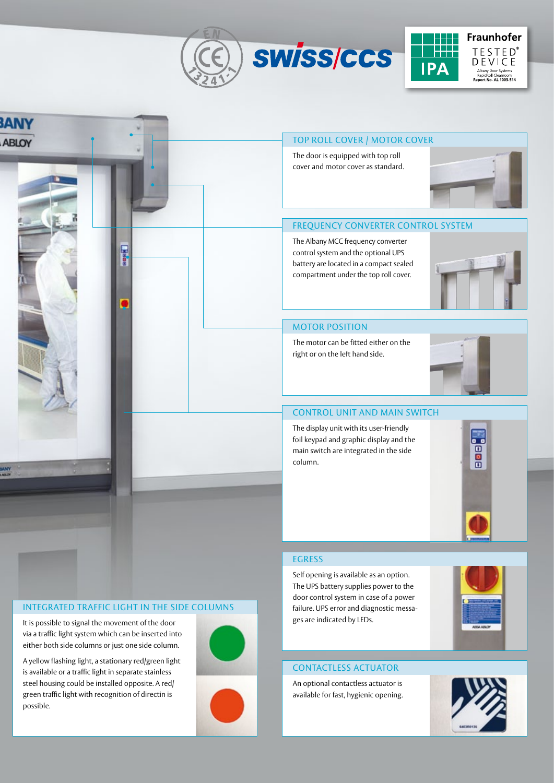



#### Integrated traffic light in the side columns

It is possible to signal the movement of the door via a traffic light system which can be inserted into either both side columns or just one side column.

A yellow flashing light, a stationary red/green light is available or a traffic light in separate stainless steel housing could be installed opposite. A red/ green traffic light with recognition of directin is possible.



door control system in case of a power failure. UPS error and diagnostic messages are indicated by LEDs.

#### Contactless actuator

An optional contactless actuator is available for fast, hygienic opening.



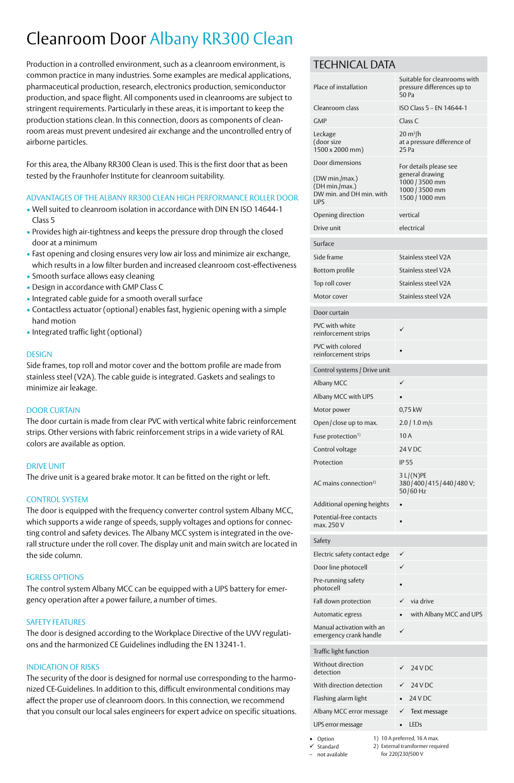## Cleanroom Door Albany RR300 Clean

Production in a controlled environment, such as a cleanroom environment, is common practice in many industries. Some examples are medical applications, pharmaceutical production, research, electronics production, semiconductor production, and space flight. All components used in cleanrooms are subject to stringent requirements. Particularly in these areas, it is important to keep the production stations clean. In this connection, doors as components of cleanroom areas must prevent undesired air exchange and the uncontrolled entry of airborne particles.

For this area, the Albany RR300 Clean is used. This is the first door that as been tested by the Fraunhofer Institute for cleanroom suitability.

#### Advantages of the Albany RR300 Clean high Performance Roller Door

- Well suited to cleanroom isolation in accordance with DIN EN ISO 14644-1 Class 5
- Provides high air-tightness and keeps the pressure drop through the closed door at a minimum
- Fast opening and closing ensures very low air loss and minimize air exchange, which results in a low filter burden and increased cleanroom cost-effectiveness
- Smooth surface allows easy cleaning
- Design in accordance with GMP Class C
- Integrated cable guide for a smooth overall surface
- Contactless actuator (optional) enables fast, hygienic opening with a simple hand motion
- Integrated traffic light (optional)

#### **DESIGN**

Side frames, top roll and motor cover and the bottom profile are made from stainless steel (V2A). The cable guide is integrated. Gaskets and sealings to minimize air leakage.

#### DOOR CURTAIN

The door curtain is made from clear PVC with vertical white fabric reinforcement strips. Other versions with fabric reinforcement strips in a wide variety of RAL colors are available as option.

#### DRIVE UNIT

The drive unit is a geared brake motor. It can be fitted on the right or left.

#### CONTROL SYSTEM

The door is equipped with the frequency converter control system Albany MCC, which supports a wide range of speeds, supply voltages and options for connecting control and safety devices. The Albany MCC system is integrated in the overall structure under the roll cover. The display unit and main switch are located in the side column.

#### Egress options

The control system Albany MCC can be equipped with a UPS battery for emergency operation after a power failure, a number of times.

#### SAFETY FEATURES

The door is designed according to the Workplace Directive of the UVV regulations and the harmonized CE Guidelines indluding the EN 13241-1.

#### INdication of Risks

The security of the door is designed for normal use corresponding to the harmonized CE-Guidelines. In addition to this, difficult environmental conditions may affect the proper use of cleanroom doors. In this connection, we recommend that you consult our local sales engineers for expert advice on specific situations.

#### Technical Data

| Place of installation                                                                               | Suitable for cleanrooms with<br>pressure differences up to<br>50 Pa   |
|-----------------------------------------------------------------------------------------------------|-----------------------------------------------------------------------|
| Cleanroom class                                                                                     | ISO Class 5 - EN 14644-1                                              |
| <b>GMP</b>                                                                                          | Class C                                                               |
| Leckage<br>(door size<br>1500 x 2000 mm)                                                            | $20 \text{ m}^3$ /h<br>at a pressure difference of<br>25 Pa           |
| Door dimensions                                                                                     | For details please see                                                |
| (DW min./max.)<br>(DH min./max.)<br>DW min. and DH min. with<br><b>UPS</b>                          | general drawing<br>1000 / 3500 mm<br>1000 / 3500 mm<br>1500 / 1000 mm |
| Opening direction                                                                                   | vertical                                                              |
| Drive unit                                                                                          | electrical                                                            |
| Surface                                                                                             |                                                                       |
| Side frame                                                                                          | Stainless steel V2A                                                   |
| Bottom profile                                                                                      | Stainless steel V2A                                                   |
| Top roll cover                                                                                      | Stainless steel V2A                                                   |
| Motor cover                                                                                         | Stainless steel V2A                                                   |
| Door curtain                                                                                        |                                                                       |
| PVC with white<br>reinforcement strips                                                              | ✓                                                                     |
| PVC with colored<br>reinforcement strips                                                            |                                                                       |
| Control systems / Drive unit                                                                        |                                                                       |
| Albany MCC                                                                                          | ✓                                                                     |
| Albany MCC with UPS                                                                                 |                                                                       |
| Motor power                                                                                         | 0,75 kW                                                               |
| Open/close up to max.                                                                               | $2.0$ / 1.0 m/s                                                       |
| Fuse protection <sup>1)</sup>                                                                       | 10A                                                                   |
| Control voltage                                                                                     | <b>24 V DC</b>                                                        |
| Protection                                                                                          | <b>IP 55</b>                                                          |
| AC mains connection <sup>2)</sup>                                                                   | $3 L/(N)$ PE<br>380/400/415/440/480V;<br>50/60 Hz                     |
| Additional opening heights                                                                          |                                                                       |
| Potential-free contacts                                                                             |                                                                       |
| max. 250 V                                                                                          |                                                                       |
| Safety                                                                                              |                                                                       |
| Electric safety contact edge                                                                        | ✓                                                                     |
| Door line photocell                                                                                 |                                                                       |
| Pre-running safety<br>photocell                                                                     |                                                                       |
| Fall down protection                                                                                | via drive                                                             |
| Automatic egress                                                                                    | with Albany MCC and UPS                                               |
| Manual activation with an<br>emergency crank handle                                                 | ✓                                                                     |
| Traffic light function                                                                              |                                                                       |
| Without direction<br>detection                                                                      | <b>24 V DC</b>                                                        |
| With direction detection                                                                            | <b>24 V DC</b>                                                        |
| Flashing alarm light                                                                                | 24 V DC                                                               |
| Albany MCC error message                                                                            | Text message                                                          |
| UPS error message                                                                                   | LEDs                                                                  |
| 1) 10 A preferred, 16 A max.<br>Option<br>2) External transformer required<br>$\checkmark$ Standard |                                                                       |

for 220/230/500 V

– not available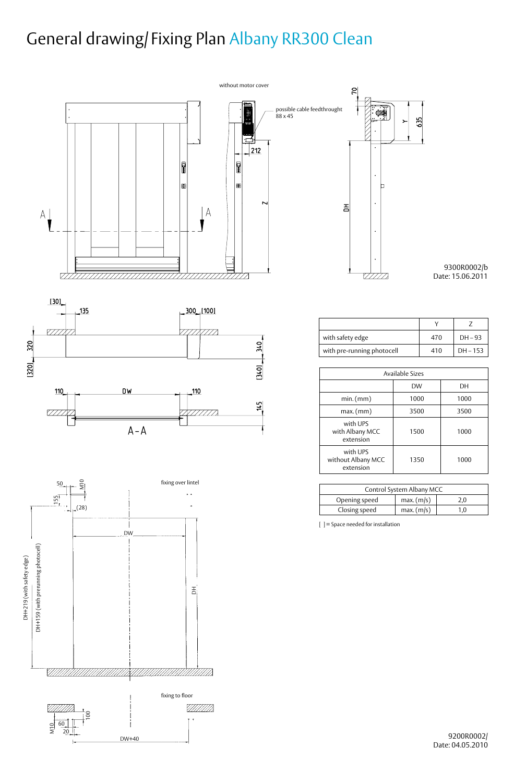## General drawing/ Fixing Plan Albany RR300 Clean



DW+40

9200R0002/ Date: 04.05.2010